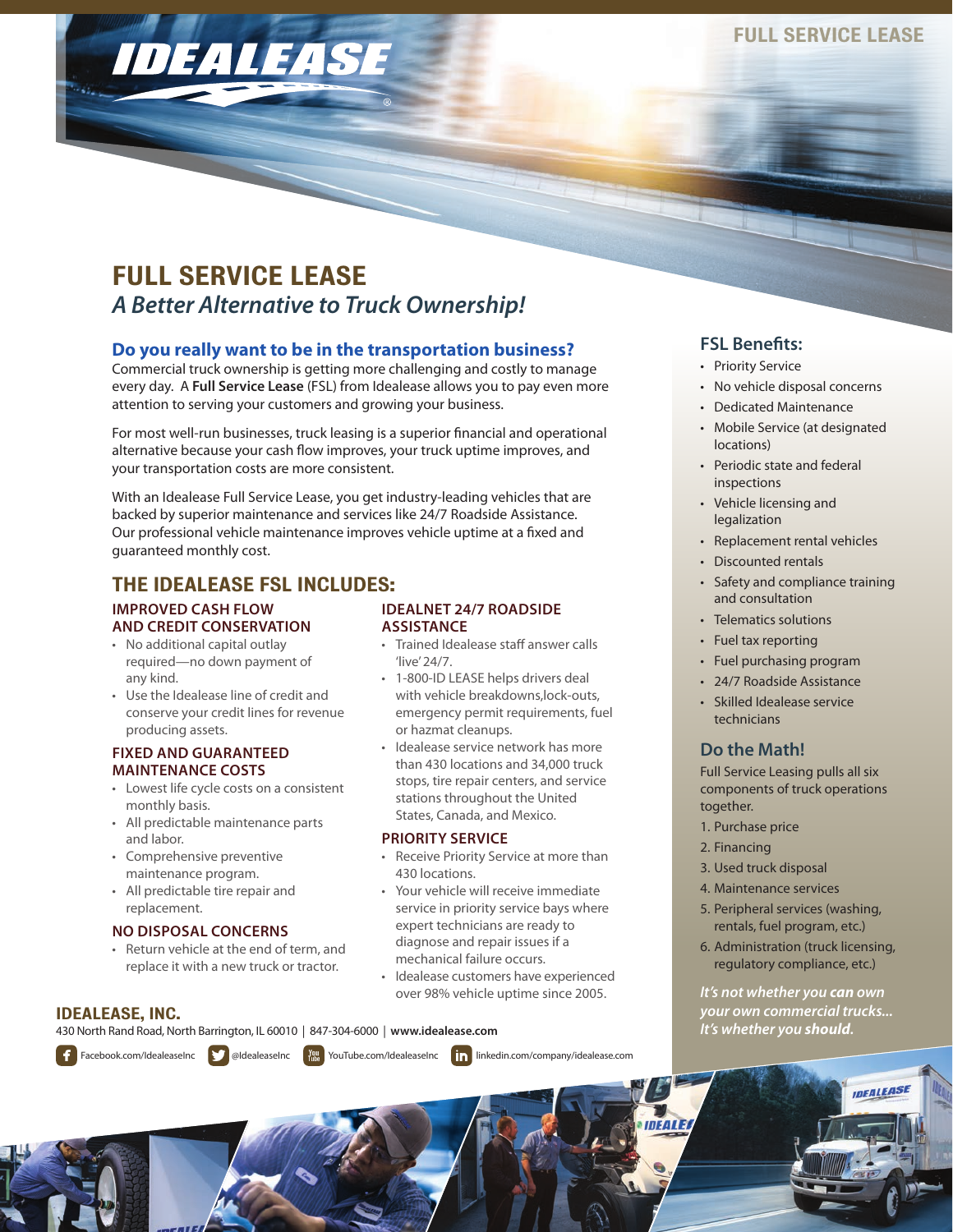# FULL SERVICE LEASE *A Better Alternative to Truck Ownership!*

# **Do you really want to be in the transportation business?**

Commercial truck ownership is getting more challenging and costly to manage every day. A **Full Service Lease** (FSL) from Idealease allows you to pay even more attention to serving your customers and growing your business.

For most well-run businesses, truck leasing is a superior financial and operational alternative because your cash flow improves, your truck uptime improves, and your transportation costs are more consistent.

With an Idealease Full Service Lease, you get industry-leading vehicles that are backed by superior maintenance and services like 24/7 Roadside Assistance. Our professional vehicle maintenance improves vehicle uptime at a fixed and guaranteed monthly cost.

# THE IDEALEASE FSL INCLUDES:

IDEALEASE

#### **IMPROVED CASH FLOW AND CREDIT CONSERVATION**

- No additional capital outlay required—no down payment of any kind.
- Use the Idealease line of credit and conserve your credit lines for revenue producing assets.

#### **FIXED AND GUARANTEED MAINTENANCE COSTS**

- Lowest life cycle costs on a consistent monthly basis.
- All predictable maintenance parts and labor.
- Comprehensive preventive maintenance program.
- All predictable tire repair and replacement.

## **NO DISPOSAL CONCERNS**

• Return vehicle at the end of term, and replace it with a new truck or tractor.

## IDEALEASE, INC.

430 North Rand Road, North Barrington, IL 60010 | 847-304-6000 | **www.idealease.com**





### **IDEALNET 24/7 ROADSIDE ASSISTANCE**

- Trained Idealease staff answer calls 'live' 24/7.
- 1-800-ID LEASE helps drivers deal with vehicle breakdowns,lock-outs, emergency permit requirements, fuel or hazmat cleanups.
- Idealease service network has more than 430 locations and 34,000 truck stops, tire repair centers, and service stations throughout the United States, Canada, and Mexico.

## **PRIORITY SERVICE**

- Receive Priority Service at more than 430 locations.
- Your vehicle will receive immediate service in priority service bays where expert technicians are ready to diagnose and repair issues if a mechanical failure occurs.
- Idealease customers have experienced over 98% vehicle uptime since 2005.

• Mobile Service (at designated locations)

**FSL Benefits:**  • Priority Service

• Periodic state and federal inspections

• No vehicle disposal concerns • Dedicated Maintenance

- Vehicle licensing and legalization
- Replacement rental vehicles
- Discounted rentals
- Safety and compliance training and consultation
- Telematics solutions
- Fuel tax reporting
- Fuel purchasing program
- 24/7 Roadside Assistance
- Skilled Idealease service technicians

# **Do the Math!**

Full Service Leasing pulls all six components of truck operations together.

- 1. Purchase price
- 2. Financing
- 3. Used truck disposal
- 4. Maintenance services
- 5. Peripheral services (washing, rentals, fuel program, etc.)
- 6. Administration (truck licensing, regulatory compliance, etc.)

*It's not whether you can own your own commercial trucks... It's whether you should.*

**IDEALEAS** 



DEALE